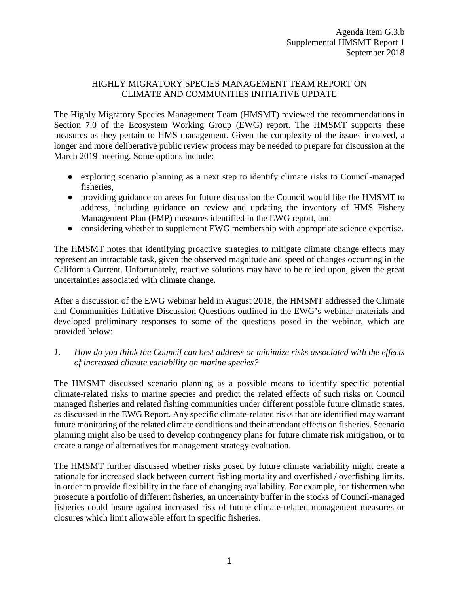## HIGHLY MIGRATORY SPECIES MANAGEMENT TEAM REPORT ON CLIMATE AND COMMUNITIES INITIATIVE UPDATE

The Highly Migratory Species Management Team (HMSMT) reviewed the recommendations in Section 7.0 of the Ecosystem Working Group (EWG) report. The HMSMT supports these measures as they pertain to HMS management. Given the complexity of the issues involved, a longer and more deliberative public review process may be needed to prepare for discussion at the March 2019 meeting. Some options include:

- exploring scenario planning as a next step to identify climate risks to Council-managed fisheries,
- providing guidance on areas for future discussion the Council would like the HMSMT to address, including guidance on review and updating the inventory of HMS Fishery Management Plan (FMP) measures identified in the EWG report, and
- considering whether to supplement EWG membership with appropriate science expertise.

The HMSMT notes that identifying proactive strategies to mitigate climate change effects may represent an intractable task, given the observed magnitude and speed of changes occurring in the California Current. Unfortunately, reactive solutions may have to be relied upon, given the great uncertainties associated with climate change.

After a discussion of the EWG webinar held in August 2018, the HMSMT addressed the Climate and Communities Initiative Discussion Questions outlined in the EWG's webinar materials and developed preliminary responses to some of the questions posed in the webinar, which are provided below:

*1. How do you think the Council can best address or minimize risks associated with the effects of increased climate variability on marine species?*

The HMSMT discussed scenario planning as a possible means to identify specific potential climate-related risks to marine species and predict the related effects of such risks on Council managed fisheries and related fishing communities under different possible future climatic states, as discussed in the EWG Report. Any specific climate-related risks that are identified may warrant future monitoring of the related climate conditions and their attendant effects on fisheries. Scenario planning might also be used to develop contingency plans for future climate risk mitigation, or to create a range of alternatives for management strategy evaluation.

The HMSMT further discussed whether risks posed by future climate variability might create a rationale for increased slack between current fishing mortality and overfished / overfishing limits, in order to provide flexibility in the face of changing availability. For example, for fishermen who prosecute a portfolio of different fisheries, an uncertainty buffer in the stocks of Council-managed fisheries could insure against increased risk of future climate-related management measures or closures which limit allowable effort in specific fisheries.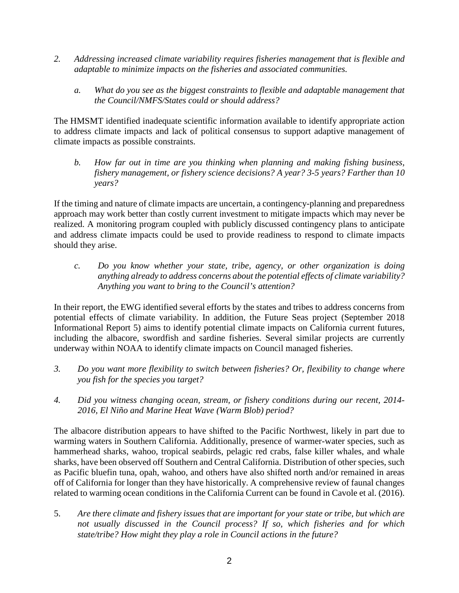- *2. Addressing increased climate variability requires fisheries management that is flexible and adaptable to minimize impacts on the fisheries and associated communities.*
	- *a. What do you see as the biggest constraints to flexible and adaptable management that the Council/NMFS/States could or should address?*

The HMSMT identified inadequate scientific information available to identify appropriate action to address climate impacts and lack of political consensus to support adaptive management of climate impacts as possible constraints.

*b. How far out in time are you thinking when planning and making fishing business, fishery management, or fishery science decisions? A year? 3-5 years? Farther than 10 years?*

If the timing and nature of climate impacts are uncertain, a contingency-planning and preparedness approach may work better than costly current investment to mitigate impacts which may never be realized. A monitoring program coupled with publicly discussed contingency plans to anticipate and address climate impacts could be used to provide readiness to respond to climate impacts should they arise.

*c. Do you know whether your state, tribe, agency, or other organization is doing anything already to address concerns about the potential effects of climate variability? Anything you want to bring to the Council's attention?*

In their report, the EWG identified several efforts by the states and tribes to address concerns from potential effects of climate variability. In addition, the Future Seas project (September 2018 Informational Report 5) aims to identify potential climate impacts on California current futures, including the albacore, swordfish and sardine fisheries. Several similar projects are currently underway within NOAA to identify climate impacts on Council managed fisheries.

- *3. Do you want more flexibility to switch between fisheries? Or, flexibility to change where you fish for the species you target?*
- *4. Did you witness changing ocean, stream, or fishery conditions during our recent, 2014- 2016, El Niño and Marine Heat Wave (Warm Blob) period?*

The albacore distribution appears to have shifted to the Pacific Northwest, likely in part due to warming waters in Southern California. Additionally, presence of warmer-water species, such as hammerhead sharks, wahoo, tropical seabirds, pelagic red crabs, false killer whales, and whale sharks, have been observed off Southern and Central California. Distribution of other species, such as Pacific bluefin tuna, opah, wahoo, and others have also shifted north and/or remained in areas off of California for longer than they have historically. A comprehensive review of faunal changes related to warming ocean conditions in the California Current can be found in Cavole et al. (2016).

5. *Are there climate and fishery issues that are important for your state or tribe, but which are not usually discussed in the Council process? If so, which fisheries and for which state/tribe? How might they play a role in Council actions in the future?*